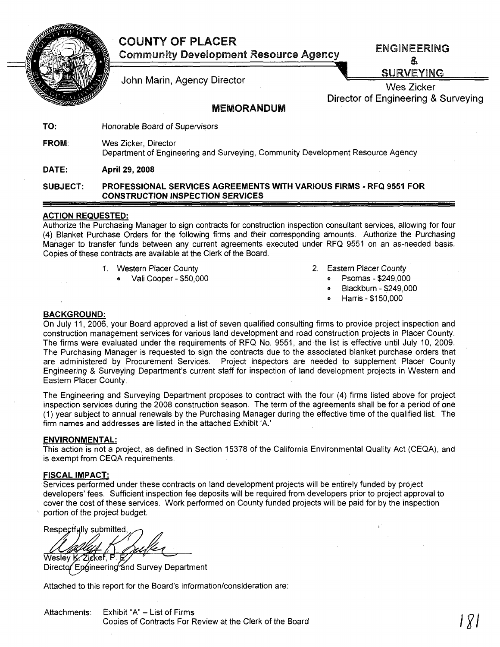# COUNTY OF PLACER



Community Development Resource Agency

ENGINEERING &

John Marin, Agency Director **Contract Contract Contract Contract Contract Contract Contract Contract Contract Contract Contract Contract Contract Contract Contract Contract Contract Contract Contract Contract Contract Cont** 

Wes Zicker Director of Engineering & Surveying

## MEMORANDUM

TO: Honorable Board of Supervisors

FROM: Wes Zicker, Director

Department of Engineering and Surveying, Community Development Resource Agency

DATE: April 29, 2008

#### SUBJECT: PROFESSIONAL SERVICES AGREEMENTS WITH VARIOUS FIRMS - RFQ 9551 FOR CONSTRUCTION INSPECTION SERVICES

### ACTION REQUESTED:

Authorize the Purchasing Manager to sign contracts for construction inspection consultant services, allowing for four (4) Blanket Purchase Orders for the following firms and their corresponding amounts. Authorize the Purchasing Manager to transfer funds between any current agreements executed under RFQ 9551 on an as~needed basis. Copies of these contracts are available at the Clerk of the Board.

- 1. Western Placer County
	- Vali Cooper \$50,000
- 2. Eastern Placer County
	- Psomas \$249,000
	- <sup>G</sup> Blackburn \$249,000
	- o Harris \$150,000

#### BACKGROUND:

On July 11, 2006, your Board approved a list of seven qualified consulting firms to provide project inspection and construction management services for various land development and road construction projects in Placer County. The firms were evaluated under the requirements of RFQ No. 9551, and the list is effective until July 10, 2009. The Purchasing Manager is requested to sign the contracts due to the associated blanket purchase orders that are administered by Procurement Services. Project inspectors are needed to supplement Placer County Engineering & Surveying Department's current staff for inspection of land development projects in Western and Eastern Placer County.

The Engineering and Surveying Department proposes to contract with the four (4) firms listed above for project inspection services during the 2008 construction season. The term of the agreements shall be for a period of one (1) year subject to annual renewals by the Purchasing Manager during the effective time of the qualified list. The firm names and addresses are listed in the attached Exhibit 'A.'

#### ENVIRONMENTAL:

This action is not a project, as defined in Section 15378 of the California Environmental Quality Act (CEQA), and is exempt from CEQA requirements.

#### FISCAL IMPACT:

Services performed under these contracts on land development projects will be entirely funded by project developers' fees. Sufficient inspection fee deposits will be required from developers prior to project approval to cover the cost of these services. Work performed on County funded projects will be paid for by the inspection , portion of the project budget.

Respectfully submitted. Wesley K. Zicker, P

Director Engineering and Survey Department

Attached to this report for the Board's information/consideration are:

Copies of Contracts For Review at the Clerk of the Board **Julian Copies of Contracts For Review at the Clerk of the Board**